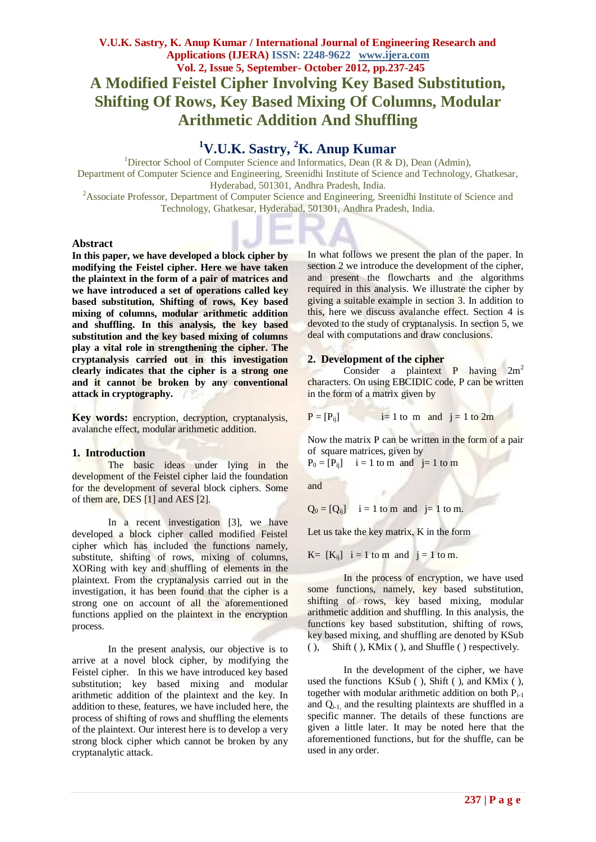# **<sup>1</sup>V.U.K. Sastry, <sup>2</sup>K. Anup Kumar**

<sup>1</sup>Director School of Computer Science and Informatics, Dean (R & D), Dean (Admin), Department of Computer Science and Engineering, Sreenidhi Institute of Science and Technology, Ghatkesar, Hyderabad, 501301, Andhra Pradesh, India.

<sup>2</sup>Associate Professor, Department of Computer Science and Engineering, Sreenidhi Institute of Science and Technology, Ghatkesar, Hyderabad, 501301, Andhra Pradesh, India.

#### **Abstract**

**In this paper, we have developed a block cipher by modifying the Feistel cipher. Here we have taken the plaintext in the form of a pair of matrices and we have introduced a set of operations called key based substitution, Shifting of rows, Key based mixing of columns, modular arithmetic addition and shuffling. In this analysis, the key based substitution and the key based mixing of columns play a vital role in strengthening the cipher. The cryptanalysis carried out in this investigation clearly indicates that the cipher is a strong one and it cannot be broken by any conventional attack in cryptography.**

**Key words:** encryption, decryption, cryptanalysis, avalanche effect, modular arithmetic addition.

#### **1. Introduction**

The basic ideas under lying in the development of the Feistel cipher laid the foundation for the development of several block ciphers. Some of them are, DES [1] and AES [2].

In a recent investigation [3], we have developed a block cipher called modified Feistel cipher which has included the functions namely, substitute, shifting of rows, mixing of columns, XORing with key and shuffling of elements in the plaintext. From the cryptanalysis carried out in the investigation, it has been found that the cipher is a strong one on account of all the aforementioned functions applied on the plaintext in the encryption process.

In the present analysis, our objective is to arrive at a novel block cipher, by modifying the Feistel cipher. In this we have introduced key based substitution; key based mixing and modular arithmetic addition of the plaintext and the key. In addition to these, features, we have included here, the process of shifting of rows and shuffling the elements of the plaintext. Our interest here is to develop a very strong block cipher which cannot be broken by any cryptanalytic attack.

In what follows we present the plan of the paper. In section 2 we introduce the development of the cipher, and present the flowcharts and the algorithms required in this analysis. We illustrate the cipher by giving a suitable example in section 3. In addition to this, here we discuss avalanche effect. Section 4 is devoted to the study of cryptanalysis. In section 5, we deal with computations and draw conclusions.

#### **2. Development of the cipher**

Consider a plaintext P having  $2m^2$ characters. On using EBCIDIC code, P can be written in the form of a matrix given by

$$
P = [P_{ij}]
$$
   
  $i = 1$  to m and  $j = 1$  to 2m

Now the matrix P can be written in the form of a pair of square matrices, given by

$$
P_0 = [P_{ij}] \quad i = 1 \text{ to m and } j = 1 \text{ to m}
$$

and

$$
Q_0 = [Q_{ij}]
$$
 i = 1 to m and j= 1 to m.

Let us take the key matrix, K in the form

$$
K = [K_{ij}]
$$
 i = 1 to m and j = 1 to m.

In the process of encryption, we have used some functions, namely, key based substitution, shifting of rows, key based mixing, modular arithmetic addition and shuffling. In this analysis, the functions key based substitution, shifting of rows, key based mixing, and shuffling are denoted by KSub ( ), Shift ( ), KMix ( ), and Shuffle ( ) respectively.

In the development of the cipher, we have used the functions KSub ( ), Shift ( ), and KMix ( ), together with modular arithmetic addition on both  $P_{i-1}$ and  $Q_{i-1}$  and the resulting plaintexts are shuffled in a specific manner. The details of these functions are given a little later. It may be noted here that the aforementioned functions, but for the shuffle, can be used in any order.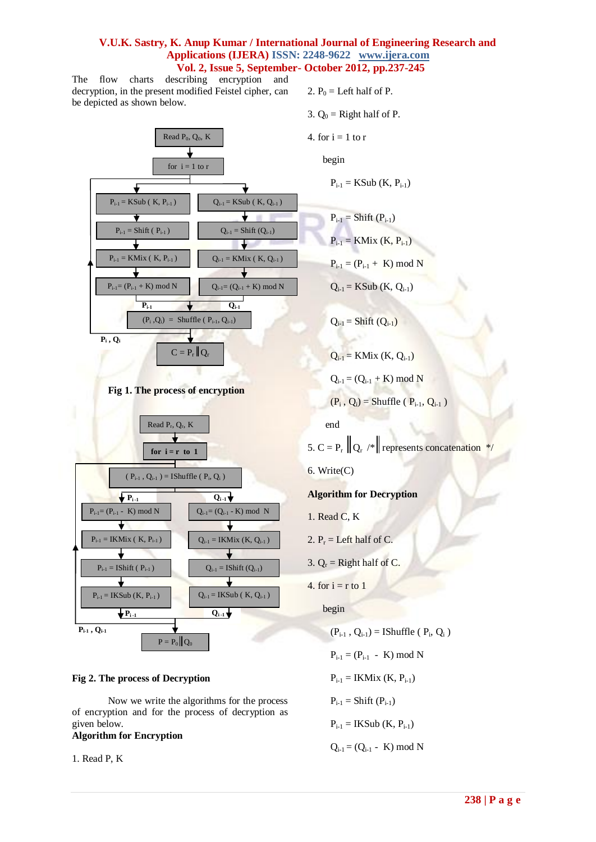The flow charts describing encryption and decryption, in the present modified Feistel cipher, can be depicted as shown below.



## **Fig 2. The process of Decryption**

Now we write the algorithms for the process of encryption and for the process of decryption as given below.

## **Algorithm for Encryption**

1. Read P, K

- 2.  $P_0$  = Left half of P.
- 3.  $Q_0$  = Right half of P.
- 4. for  $i = 1$  to r

begin

 $P_{i-1} = KSub (K, P_{i-1})$ 

$$
P_{i-1} = Shift (P_{i-1})
$$
  

$$
P_{i-1} = KMix (K, P_{i-1})
$$
  

$$
P_{i-1} = (P_{i-1} + K) \text{ mod } N
$$

 $Q_{i-1} = KSub (K, Q_{i-1})$ 

 $Q_{i-1} = Shift(Q_{i-1})$ 

 $Q_{i-1} = KMix (K, Q_{i-1})$  $Q_{i-1} = (Q_{i-1} + K) \mod N$  $(P_i, Q_i)$  = Shuffle ( $P_{i-1}, Q_{i-1}$ ) end

5.  $C = P_r ||Q_r \rangle$  represents concatenation \*/

6. Write(C)

**Algorithm for Decryption**

- 1. Read C, K
- 2.  $P_r =$  Left half of C.
- 3.  $Q_r$  = Right half of C.
- 4. for  $i = r$  to 1

begin

$$
(P_{i-1}, Q_{i-1}) = IShuffle (P_i, Q_i)
$$

 $P_{i-1} = (P_{i-1} - K) \mod N$ 

 $P_{i-1} = IKMix (K, P_{i-1})$ 

 $P_{i-1} =$ Shift  $(P_{i-1})$ 

 $P_{i-1} =$  IKSub (K,  $P_{i-1}$ )

 $Q_{i-1} = (Q_{i-1} - K) \mod N$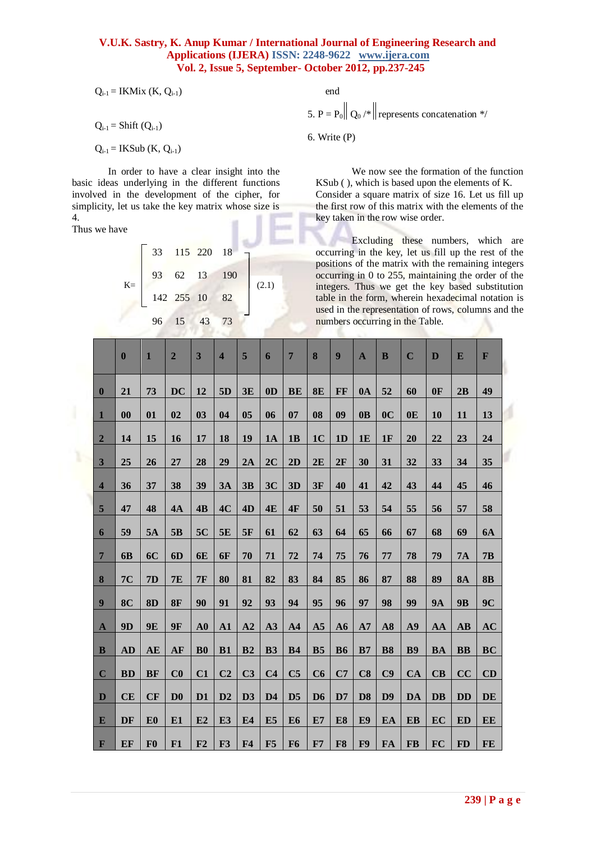$$
Q_{i-1} = IKMix\ (K,\ Q_{i-1})
$$

 $Q_{i-1} = Shift(Q_{i-1})$ 

 $Q_{i-1} =$  IKSub (K,  $Q_{i-1}$ )

In order to have a clear insight into the basic ideas underlying in the different functions involved in the development of the cipher, for simplicity, let us take the key matrix whose size is 4.

Thus we have

|       |  | 33 115 220 18 |       |
|-------|--|---------------|-------|
| $K =$ |  | 93 62 13 190  | (2.1) |
|       |  | 142 255 10 82 |       |
|       |  | 96 15 43 73   |       |

end

5. P =  $P_0$   $\left\| \mathbf{Q}_0 \right\|^*$  represents concatenation \*/

6. Write (P)

We now see the formation of the function KSub ( ), which is based upon the elements of K. Consider a square matrix of size 16. Let us fill up the first row of this matrix with the elements of the key taken in the row wise order.

Excluding these numbers, which are occurring in the key, let us fill up the rest of the positions of the matrix with the remaining integers occurring in 0 to 255, maintaining the order of the integers. Thus we get the key based substitution table in the form, wherein hexadecimal notation is used in the representation of rows, columns and the numbers occurring in the Table.

|                         | $\boldsymbol{0}$  | $\mathbf{1}$   | $\overline{2}$ | 3              | $\overline{\mathbf{4}}$ | 5              | 6              | $\overline{7}$ | 8              | $\boldsymbol{9}$ | $\mathbf{A}$   | B              | $\mathbf C$    | $\mathbf{D}$ | E                      | F              |
|-------------------------|-------------------|----------------|----------------|----------------|-------------------------|----------------|----------------|----------------|----------------|------------------|----------------|----------------|----------------|--------------|------------------------|----------------|
| $\bf{0}$                | 21                | 73             | <b>DC</b>      | 12             | 5D                      | 3E             | 0 <sub>D</sub> | <b>BE</b>      | 8E             | FF               | 0A             | 52             | 60             | 0F           | 2B                     | 49             |
| $\mathbf{1}$            | $\boldsymbol{00}$ | 01             | 02             | 03             | 04                      | 0 <sub>5</sub> | 06             | 07             | 08             | 09               | 0 <sub>B</sub> | 0 <sup>C</sup> | 0 <sub>E</sub> | 10           | 11                     | 13             |
| $\overline{2}$          | 14                | 15             | 16             | 17             | 18                      | 19             | 1A             | 1B             | 1 <sub>C</sub> | 1D               | 1E             | 1F             | 20             | 22           | 23                     | 24             |
| $\overline{\mathbf{3}}$ | 25                | 26             | 27             | 28             | 29                      | 2A             | 2C             | 2D             | 2E             | 2F               | 30             | 31             | 32             | 33           | 34                     | 35             |
| $\overline{\mathbf{4}}$ | 36                | 37             | 38             | 39             | 3A                      | 3B             | 3C             | 3D             | 3F             | 40               | 41             | 42             | 43             | 44           | 45                     | 46             |
| $5\phantom{.0}$         | 47                | 48             | 4A             | 4B             | 4C                      | 4D             | 4E             | 4F             | 50             | 51               | 53             | 54             | 55             | 56           | 57                     | 58             |
| 6                       | 59                | 5A             | 5B             | 5C             | 5E                      | 5F             | 61             | 62             | 63             | 64               | 65             | 66             | 67             | 68           | 69                     | <b>6A</b>      |
| $\overline{7}$          | 6B                | <b>6C</b>      | 6D             | <b>6E</b>      | 6F                      | 70             | 71             | 72             | 74             | 75               | 76             | 77             | 78             | 79           | 7A                     | 7B             |
| 8                       | 7C                | 7D             | <b>7E</b>      | 7F             | 80                      | 81             | 82             | 83             | 84             | 85               | 86             | 87             | 88             | 89           | <b>8A</b>              | <b>8B</b>      |
| $\boldsymbol{9}$        | 8 <sup>C</sup>    | 8D             | <b>8F</b>      | 90             | 91                      | 92             | 93             | 94             | 95             | 96               | 97             | 98             | 99             | <b>9A</b>    | <b>9B</b>              | 9 <sub>C</sub> |
| $\mathbf A$             | 9D                | 9E             | <b>9F</b>      | $\bf{A0}$      | ${\bf A1}$              | A2             | A3             | A <sub>4</sub> | A <sub>5</sub> | A6               | A7             | A8             | A9             | AA           | $\mathbf{A}\mathbf{B}$ | AC             |
| $\bf{B}$                | <b>AD</b>         | AE             | AF             | ${\bf B0}$     | B1                      | B2             | <b>B3</b>      | <b>B4</b>      | B <sub>5</sub> | <b>B6</b>        | B7             | <b>B8</b>      | <b>B9</b>      | <b>BA</b>    | <b>BB</b>              | <b>BC</b>      |
| $\mathbf C$             | <b>BD</b>         | <b>BF</b>      | C <sub>0</sub> | C1             | C <sub>2</sub>          | C <sub>3</sub> | C <sub>4</sub> | C <sub>5</sub> | C6             | C7               | C8             | C9             | <b>CA</b>      | CB           | CC                     | CD             |
| D                       | CE                | CF             | D <sub>0</sub> | D <sub>1</sub> | D2                      | D3             | D <sub>4</sub> | D <sub>5</sub> | D <sub>6</sub> | D7               | D <sub>8</sub> | D9             | DA             | <b>DB</b>    | <b>DD</b>              | DE             |
| E                       | DF                | E <sub>0</sub> | E1             | E2             | E <sub>3</sub>          | E4             | E <sub>5</sub> | E <sub>6</sub> | E7             | E8               | E <sub>9</sub> | EA             | EB             | EC           | <b>ED</b>              | EE             |
| $\mathbf F$             | EF                | F <sub>0</sub> | F1             | F2             | F3                      | F <sub>4</sub> | F5             | F <sub>6</sub> | F7             | F8               | F9             | FA             | FB             | <b>FC</b>    | <b>FD</b>              | FE             |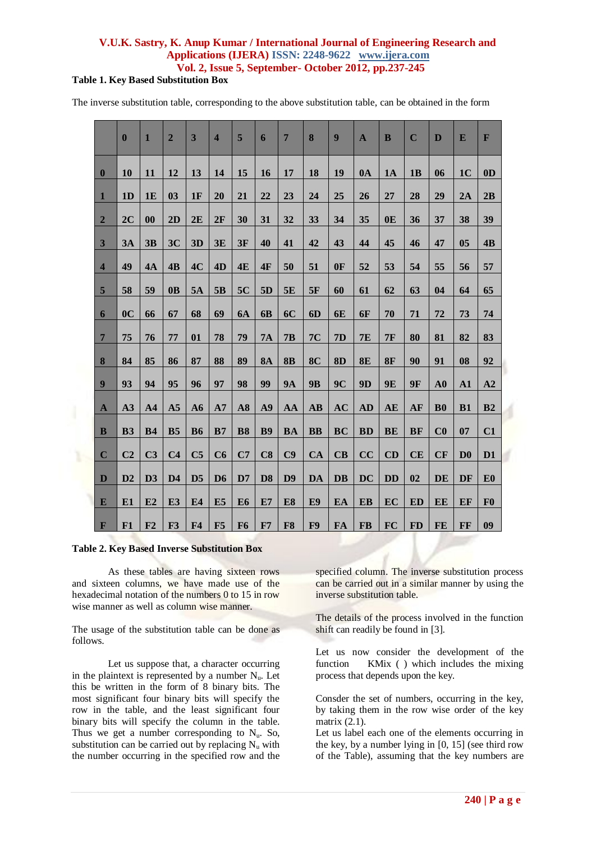## **Table 1. Key Based Substitution Box**

The inverse substitution table, corresponding to the above substitution table, can be obtained in the form

|                  | $\bf{0}$       | $\mathbf{1}$      | $\overline{2}$ | 3              | $\overline{\mathbf{4}}$ | 5              | 6              | $\overline{7}$ | 8                      | 9         | $\mathbf{A}$ | B         | $\mathbf C$ | D              | E                      | $\mathbf{F}$   |
|------------------|----------------|-------------------|----------------|----------------|-------------------------|----------------|----------------|----------------|------------------------|-----------|--------------|-----------|-------------|----------------|------------------------|----------------|
| $\bf{0}$         | 10             | 11                | 12             | 13             | 14                      | 15             | 16             | 17             | 18                     | 19        | 0A           | 1A        | 1B          | 06             | 1 <sub>C</sub>         | 0 <sub>D</sub> |
| $\mathbf{1}$     | 1 <sub>D</sub> | <b>1E</b>         | 03             | 1F             | 20                      | 21             | 22             | 23             | 24                     | 25        | 26           | 27        | 28          | 29             | 2A                     | 2B             |
| $\overline{2}$   | 2C             | $\boldsymbol{00}$ | 2D             | 2E             | 2F                      | 30             | 31             | 32             | 33                     | 34        | 35           | 0E        | 36          | 37             | 38                     | 39             |
| $\mathbf{3}$     | 3A             | 3B                | 3C             | 3D             | 3E                      | 3F             | 40             | 41             | 42                     | 43        | 44           | 45        | 46          | 47             | 0 <sub>5</sub>         | 4B             |
| $\overline{4}$   | 49             | 4A                | 4B             | 4C             | 4D                      | 4E             | 4F             | 50             | 51                     | 0F        | 52           | 53        | 54          | 55             | 56                     | 57             |
| 5                | 58             | 59                | 0 <sub>B</sub> | 5A             | 5B                      | 5C             | 5D             | 5E             | 5F                     | 60        | 61           | 62        | 63          | 04             | 64                     | 65             |
| $\boldsymbol{6}$ | 0 <sup>C</sup> | 66                | 67             | 68             | 69                      | <b>6A</b>      | 6 <b>B</b>     | 6C             | 6D                     | 6E        | 6F           | 70        | 71          | 72             | 73                     | 74             |
| $\overline{7}$   | 75             | 76                | 77             | 01             | 78                      | 79             | <b>7A</b>      | 7B             | <b>7C</b>              | 7D        | <b>7E</b>    | 7F        | 80          | 81             | 82                     | 83             |
| 8                | 84             | 85                | 86             | 87             | 88                      | 89             | <b>8A</b>      | <b>8B</b>      | 8 <sub>C</sub>         | <b>8D</b> | 8E           | 8F        | 90          | 91             | 08                     | 92             |
| 9                | 93             | 94                | 95             | 96             | 97                      | 98             | 99             | <b>9A</b>      | <b>9B</b>              | 9C        | 9D           | <b>9E</b> | <b>9F</b>   | ${\bf A0}$     | ${\bf A1}$             | A2             |
|                  |                |                   |                |                |                         |                |                |                |                        |           |              |           |             |                |                        |                |
| $\mathbf{A}$     | A3             | A <sub>4</sub>    | A <sub>5</sub> | A6             | A7                      | A8             | A9             | AA             | $\mathbf{A}\mathbf{B}$ | <b>AC</b> | <b>AD</b>    | AE        | AF          | ${\bf B0}$     | <b>B1</b>              | B <sub>2</sub> |
| $\mathbf{B}$     | <b>B3</b>      | <b>B4</b>         | B <sub>5</sub> | <b>B6</b>      | B7                      | <b>B8</b>      | <b>B9</b>      | <b>BA</b>      | <b>BB</b>              | <b>BC</b> | <b>BD</b>    | <b>BE</b> | <b>BF</b>   | C <sub>0</sub> | 07                     | C1             |
| $\mathbf C$      | C <sub>2</sub> | C <sub>3</sub>    | C <sub>4</sub> | C <sub>5</sub> | C6                      | C7             | C8             | C9             | <b>CA</b>              | CB        | CC           | CD        | CE          | CF             | $\mathbf{D}\mathbf{0}$ | D1             |
| D                | D2             | D3                | D <sub>4</sub> | D <sub>5</sub> | D <sub>6</sub>          | D7             | D <sub>8</sub> | D9             | <b>DA</b>              | <b>DB</b> | <b>DC</b>    | <b>DD</b> | 02          | DE             | DF                     | E <sub>0</sub> |
| E                | E1             | E2                | E <sub>3</sub> | E4             | E <sub>5</sub>          | E <sub>6</sub> | E7             | E8             | E <sub>9</sub>         | EA        | <b>EB</b>    | EC        | ED          | <b>EE</b>      | EF                     | F <sub>0</sub> |
| $\mathbf{F}$     | F1             | F2                | F <sub>3</sub> | F <sub>4</sub> | F5                      | F <sub>6</sub> | F7             | F8             | F9                     | FA        | <b>FB</b>    | <b>FC</b> | <b>FD</b>   | FE             | FF                     | 09             |

#### **Table 2. Key Based Inverse Substitution Box**

As these tables are having sixteen rows and sixteen columns, we have made use of the hexadecimal notation of the numbers 0 to 15 in row wise manner as well as column wise manner.

The usage of the substitution table can be done as follows.

Let us suppose that, a character occurring in the plaintext is represented by a number  $N_u$ . Let this be written in the form of 8 binary bits. The most significant four binary bits will specify the row in the table, and the least significant four binary bits will specify the column in the table. Thus we get a number corresponding to  $N_u$ . So, substitution can be carried out by replacing  $N_u$  with the number occurring in the specified row and the

specified column. The inverse substitution process can be carried out in a similar manner by using the inverse substitution table.

The details of the process involved in the function shift can readily be found in [3].

Let us now consider the development of the function KMix ( ) which includes the mixing process that depends upon the key.

Consder the set of numbers, occurring in the key, by taking them in the row wise order of the key matrix (2.1).

Let us label each one of the elements occurring in the key, by a number lying in [0, 15] (see third row of the Table), assuming that the key numbers are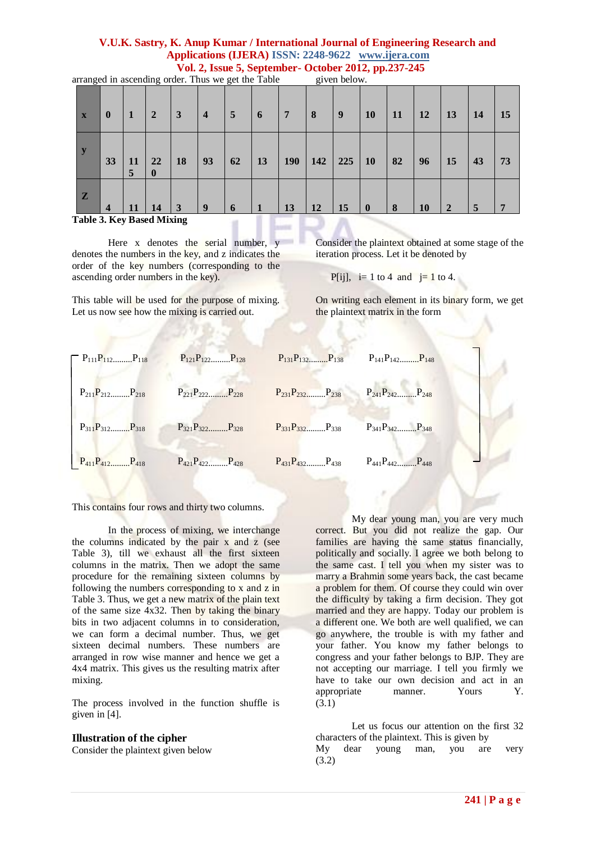| $\mathbf{X}$                              | $\boldsymbol{0}$        | -1      | $\overline{2}$     | 3         | $\overline{4}$ | $\overline{5}$ | 6  | $\overline{7}$ | 8   | 9   | 10        | <b>11</b> | <b>12</b> | 13           | 14 | 15 |
|-------------------------------------------|-------------------------|---------|--------------------|-----------|----------------|----------------|----|----------------|-----|-----|-----------|-----------|-----------|--------------|----|----|
| $\mathbf{y}$                              | 33                      | 11<br>5 | 22<br>$\mathbf{0}$ | <b>18</b> | 93             | 62             | 13 | <b>190</b>     | 142 | 225 | <b>10</b> | 82        | 96        | 15           | 43 | 73 |
| $\mathbf{Z}$<br>Table 3. Key Rased Mixing | $\overline{\mathbf{4}}$ | 11      | 14                 | 3         | 9              | 6              |    | 13             | 12  | 15  | $\bf{0}$  | 8         | <b>10</b> | $\mathbf{2}$ | 5  | 7  |

arranged in ascending order. Thus we get the Table given below.

**Table 3. Key Based Mixing** 

Here x denotes the serial number, y denotes the numbers in the key, and z indicates the order of the key numbers (corresponding to the ascending order numbers in the key).

This table will be used for the purpose of mixing. Let us now see how the mixing is carried out.

Consider the plaintext obtained at some stage of the iteration process. Let it be denoted by

P[ij],  $i=1$  to 4 and  $j=1$  to 4.

On writing each element in its binary form, we get the plaintext matrix in the form



This contains four rows and thirty two columns.

In the process of mixing, we interchange the columns indicated by the pair  $x$  and  $z$  (see Table 3), till we exhaust all the first sixteen columns in the matrix. Then we adopt the same procedure for the remaining sixteen columns by following the numbers corresponding to x and z in Table 3. Thus, we get a new matrix of the plain text of the same size  $4x32$ . Then by taking the binary bits in two adjacent columns in to consideration, we can form a decimal number. Thus, we get sixteen decimal numbers. These numbers are arranged in row wise manner and hence we get a 4x4 matrix. This gives us the resulting matrix after mixing.

The process involved in the function shuffle is given in [4].

#### **Illustration of the cipher**

Consider the plaintext given below

My dear young man, you are very much correct. But you did not realize the gap. Our families are having the same status financially, politically and socially. I agree we both belong to the same cast. I tell you when my sister was to marry a Brahmin some years back, the cast became a problem for them. Of course they could win over the difficulty by taking a firm decision. They got married and they are happy. Today our problem is a different one. We both are well qualified, we can go anywhere, the trouble is with my father and your father. You know my father belongs to congress and your father belongs to BJP. They are not accepting our marriage. I tell you firmly we have to take our own decision and act in an appropriate manner. Yours Y. (3.1)

Let us focus our attention on the first 32 characters of the plaintext. This is given by My dear young man, you are very (3.2)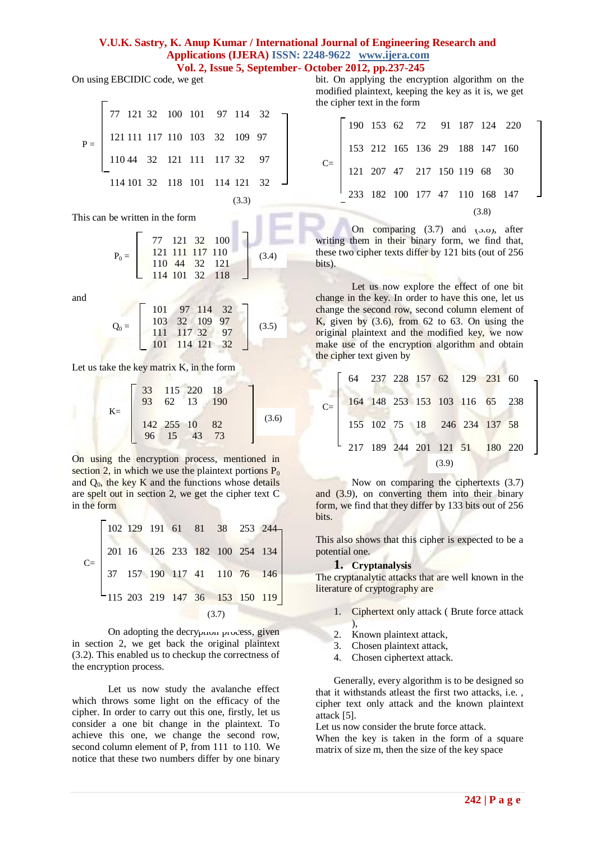On using EBCIDIC code, we get

| $P = \begin{bmatrix} 77 & 121 & 32 & 100 & 101 & 97 & 114 & 32 \\ 121 & 111 & 117 & 110 & 103 & 32 & 109 & 97 \\ 110 & 44 & 32 & 121 & 111 & 117 & 32 & 97 \end{bmatrix}$ |  |  |  |                                                                   |       |  |
|---------------------------------------------------------------------------------------------------------------------------------------------------------------------------|--|--|--|-------------------------------------------------------------------|-------|--|
|                                                                                                                                                                           |  |  |  | $114 \ 101 \ 32 \quad 118 \ 101 \quad 114 \ 121 \quad 32 \quad -$ |       |  |
|                                                                                                                                                                           |  |  |  |                                                                   | (3.3) |  |

This can be written in the form

$$
P_0 = \left[\begin{array}{rrr} 77 & 121 & 32 & 100 \\ 121 & 111 & 117 & 110 \\ 110 & 44 & 32 & 121 \\ 114 & 101 & 32 & 118 \end{array}\right] (3.4)
$$

and

$$
Q_0 = \left[\begin{array}{rrr} 101 & 97 & 114 & 32 \\ 103 & 32 & 109 & 97 \\ 111 & 117 & 32 & 97 \\ 101 & 114 & 121 & 32 \end{array}\right] (3.5)
$$

Let us take the key matrix K, in the form

$$
K = \begin{bmatrix} 33 & 115 & 220 & 18 \\ 93 & 62 & 13 & 190 \\ 142 & 255 & 10 & 82 \\ 96 & 15 & 43 & 73 \end{bmatrix}
$$
(3.6)

On using the encryption process, mentioned in section 2, in which we use the plaintext portions  $P_0$ and  $Q_0$ , the key K and the functions whose details are spelt out in section 2, we get the cipher text C in the form

 102 129 191 61 81 38 253 244 201 16 126 233 182 100 254 134 37 157 190 117 41 110 76 146 115 203 219 147 36 153 150 119 C= (3.7)

On adopting the decryption process, given in section 2, we get back the original plaintext (3.2). This enabled us to checkup the correctness of the encryption process.

Let us now study the avalanche effect which throws some light on the efficacy of the cipher. In order to carry out this one, firstly, let us consider a one bit change in the plaintext. To achieve this one, we change the second row, second column element of P, from 111 to 110. We notice that these two numbers differ by one binary

bit. On applying the encryption algorithm on the modified plaintext, keeping the key as it is, we get the cipher text in the form

|                                                                                                                                   | $\begin{bmatrix} 190 & 153 & 62 & 72 & 91 & 187 & 124 & 220 \end{bmatrix}$ |  |  |  |  |
|-----------------------------------------------------------------------------------------------------------------------------------|----------------------------------------------------------------------------|--|--|--|--|
| C= $\begin{array}{ l } 153 & 212 & 165 & 136 & 29 & 188 & 147 & 160 \\ 121 & 207 & 47 & 217 & 150 & 119 & 68 & 30 \\ \end{array}$ |                                                                            |  |  |  |  |
|                                                                                                                                   |                                                                            |  |  |  |  |
|                                                                                                                                   | 233 182 100 177 47 110 168 147                                             |  |  |  |  |
|                                                                                                                                   |                                                                            |  |  |  |  |

On comparing  $(3.7)$  and  $(3.8)$ , after writing them in their binary form, we find that, these two cipher texts differ by 121 bits (out of 256 bits).

Let us now explore the effect of one bit change in the key. In order to have this one, let us change the second row, second column element of K, given by  $(3.6)$ , from 62 to 63. On using the original plaintext and the modified key, we now make use of the encryption algorithm and obtain the cipher text given by ž

| 64 237 228 157 62 129 231 60                                                 |  |       |  |  |
|------------------------------------------------------------------------------|--|-------|--|--|
| $C =$ 164 148 253 153 103 116 65 238                                         |  |       |  |  |
| 155 102 75 18 246 234 137 58                                                 |  |       |  |  |
| $\begin{bmatrix} 217 & 189 & 244 & 201 & 121 & 51 & 180 & 220 \end{bmatrix}$ |  |       |  |  |
|                                                                              |  | (3.9) |  |  |

Now on comparing the ciphertexts (3.7) and (3.9), on converting them into their binary form, we find that they differ by 133 bits out of 256 bits.

This also shows that this cipher is expected to be a potential one.

#### **1. Cryptanalysis**

The cryptanalytic attacks that are well known in the literature of cryptography are

- 1. Ciphertext only attack ( Brute force attack ),
- 2. Known plaintext attack,
- 3. Chosen plaintext attack,
- 4. Chosen ciphertext attack.

Generally, every algorithm is to be designed so that it withstands atleast the first two attacks, i.e. , cipher text only attack and the known plaintext attack [5].

Let us now consider the brute force attack.

When the key is taken in the form of a square matrix of size m, then the size of the key space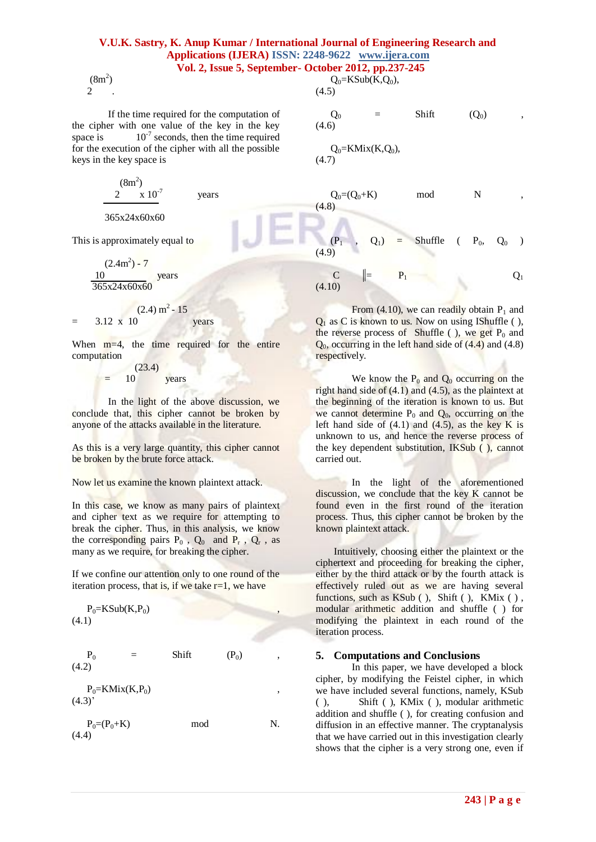## **V.U.K. Sastry, K. Anup Kumar / International Journal of Engineering Research and Applications (IJERA) ISSN: 2248-9622 www.ijera.com**

## **Vol. 2, Issue 5, September- October 2012, pp.237-245**

 $(8m^2)$ 2 .

If the time required for the computation of the cipher with one value of the key in the key space is  $10^{-7}$  seconds, then the time required for the execution of the cipher with all the possible keys in the key space is

$$
\frac{(8m^2)}{2 \times 10^7}
$$
 years

#### 365x24x60x60

This is approximately equal to

 $(2.4m^2)$  - 7 10 years 365x24x60x60

$$
(2.4) \text{ m}^2 - 15
$$

$$
= 3.12 \times 10
$$
 years

When m=4, the time required for the entire computation

$$
= 10 \t(23.4)
$$

In the light of the above discussion, we conclude that, this cipher cannot be broken by anyone of the attacks available in the literature.

As this is a very large quantity, this cipher cannot be broken by the brute force attack.

Now let us examine the known plaintext attack.

In this case, we know as many pairs of plaintext and cipher text as we require for attempting to break the cipher. Thus, in this analysis, we know the corresponding pairs  $P_0$ ,  $Q_0$  and  $P_r$ ,  $Q_r$ , as many as we require, for breaking the cipher.

If we confine our attention only to one round of the iteration process, that is, if we take  $r=1$ , we have

$$
P_0=KSub(K,P_0)
$$
\n
$$
(4.1)
$$

$$
P_0 = Shift \t(P_0) ,
$$
 (4.2)

 $P_0=KMix(K,P_0)$  $(4.3)$ 

 $P_0=(P_0+K)$  mod N. (4.4)

$$
Q_0 = KSub(K, Q_0),
$$
  
(4.5)

$$
\begin{array}{ccc}\nQ_0 & = & \text{Shift} & (Q_0) \\
(4.6)\n\end{array}
$$

$$
Q_0\!\!=\!\!KMix(K,Q_0),\\(4.7)
$$

 $Q_0 = (Q_0 + K)$  mod N (4.8)  $(Q_1)$  = Shuffle (  $P_0$ ,  $Q_0$  ) (4.9)

 $C \parallel P_1$   $Q_1$ 

(4.10)

From (4.10), we can readily obtain  $P_1$  and  $Q_1$  as C is known to us. Now on using IShuffle ( ), the reverse process of Shuffle ( ), we get  $P_0$  and  $Q_0$ , occurring in the left hand side of  $(4.4)$  and  $(4.8)$ respectively.

We know the  $P_0$  and  $Q_0$  occurring on the right hand side of  $(4.1)$  and  $(4.5)$ , as the plaintext at the beginning of the iteration is known to us. But we cannot determine  $P_0$  and  $Q_0$ , occurring on the left hand side of  $(4.1)$  and  $(4.5)$ , as the key K is unknown to us, and hence the reverse process of the key dependent substitution, IKSub ( ), cannot carried out.

In the light of the aforementioned discussion, we conclude that the key K cannot be found even in the first round of the iteration process. Thus, this cipher cannot be broken by the known plaintext attack.

Intuitively, choosing either the plaintext or the ciphertext and proceeding for breaking the cipher, either by the third attack or by the fourth attack is effectively ruled out as we are having several functions, such as KSub ( ), Shift ( ), KMix ( ) , modular arithmetic addition and shuffle ( ) for modifying the plaintext in each round of the iteration process.

#### **5. Computations and Conclusions**

In this paper, we have developed a block cipher, by modifying the Feistel cipher, in which we have included several functions, namely, KSub ( ), Shift ( ), KMix ( ), modular arithmetic addition and shuffle ( ), for creating confusion and diffusion in an effective manner. The cryptanalysis that we have carried out in this investigation clearly shows that the cipher is a very strong one, even if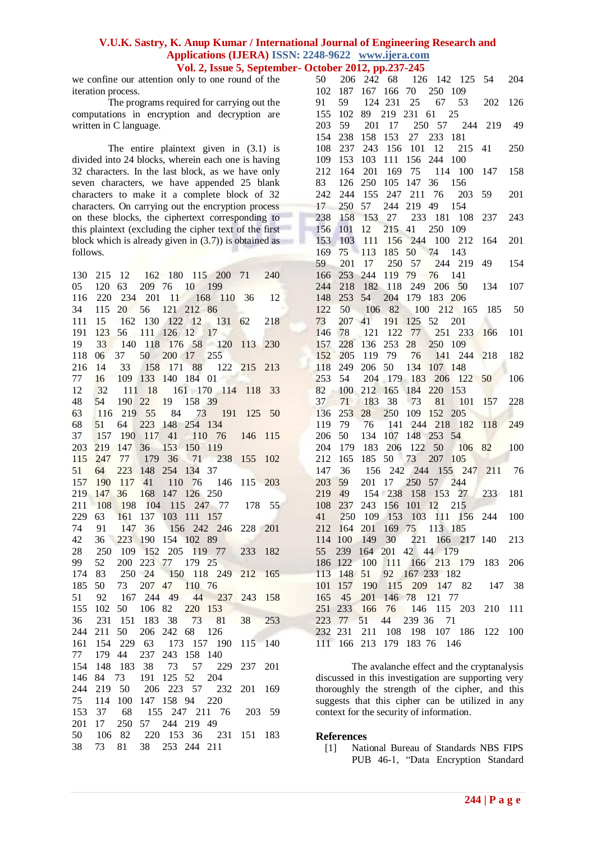we confine our attention only to one round of the iteration process.

The programs required for carrying out the computations in encryption and decryption are written in C language.

The entire plaintext given in (3.1) is divided into 24 blocks, wherein each one is having 32 characters. In the last block, as we have only seven characters, we have appended 25 blank characters to make it a complete block of 32 characters. On carrying out the encryption process on these blocks, the ciphertext corresponding to this plaintext (excluding the cipher text of the first block which is already given in (3.7)) is obtained as follows.

The avalanche effect and the cryptanalysis discussed in this investigation are supporting very thoroughly the strength of the cipher, and this suggests that this cipher can be utilized in any context for the security of information.

#### **References**

[1] National Bureau of Standards NBS FIPS PUB 46-1, "Data Encryption Standard